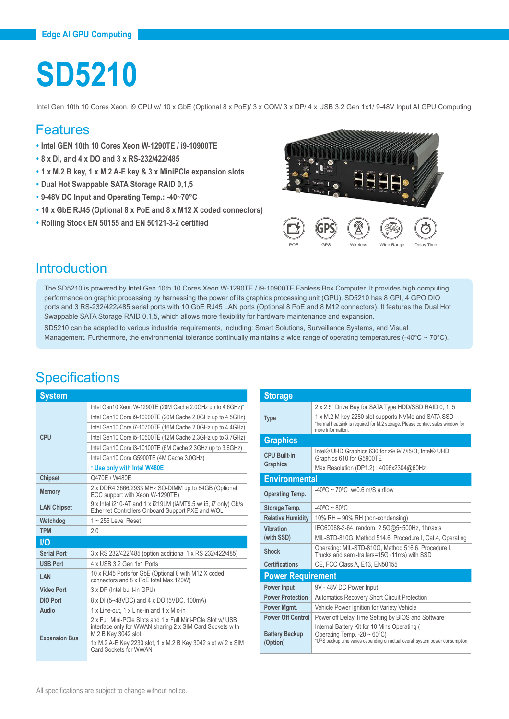# **SD5210**

Intel Gen 10th 10 Cores Xeon, i9 CPU w/ 10 x GbE (Optional 8 x PoE)/ 3 x COM/ 3 x DP/ 4 x USB 3.2 Gen 1x1/ 9-48V Input AI GPU Computing

#### Features

- **• Intel GEN 10th 10 Cores Xeon W-1290TE / i9-10900TE**
- **• 8 x DI, and 4 x DO and 3 x RS-232/422/485**
- **• 1 x M.2 B key, 1 x M.2 A-E key & 3 x MiniPCIe expansion slots**
- **• Dual Hot Swappable SATA Storage RAID 0,1,5**
- **• 9-48V DC Input and Operating Temp.: -40~70°C**
- **• 10 x GbE RJ45 (Optional 8 x PoE and 8 x M12 X coded connectors)**
- **• Rolling Stock EN 50155 and EN 50121-3-2 certified**



#### Introduction

The SD5210 is powered by Intel Gen 10th 10 Cores Xeon W-1290TE / i9-10900TE Fanless Box Computer. It provides high computing performance on graphic processing by harnessing the power of its graphics processing unit (GPU). SD5210 has 8 GPI, 4 GPO DIO ports and 3 RS-232/422/485 serial ports with 10 GbE RJ45 LAN ports (Optional 8 PoE and 8 M12 connectors). It features the Dual Hot Swappable SATA Storage RAID 0,1,5, which allows more flexibility for hardware maintenance and expansion.

SD5210 can be adapted to various industrial requirements, including: Smart Solutions, Surveillance Systems, and Visual Management. Furthermore, the environmental tolerance continually maintains a wide range of operating temperatures  $(-40^{\circ}C - 70^{\circ}C)$ .

| <b>System</b>        |                                                                                                                                                 |  |
|----------------------|-------------------------------------------------------------------------------------------------------------------------------------------------|--|
|                      | Intel Gen10 Xeon W-1290TE (20M Cache 2.0GHz up to 4.6GHz)*                                                                                      |  |
|                      | Intel Gen10 Core i9-10900TE (20M Cache 2.0GHz up to 4.5GHz)                                                                                     |  |
|                      | Intel Gen10 Core i7-10700TE (16M Cache 2.0GHz up to 4.4GHz)                                                                                     |  |
| CPU                  | Intel Gen10 Core i5-10500TE (12M Cache 2.3GHz up to 3.7GHz)                                                                                     |  |
|                      | Intel Gen10 Core i3-10100TE (6M Cache 2.3GHz up to 3.6GHz)                                                                                      |  |
|                      | Intel Gen10 Core G5900TE (4M Cache 3.0GHz)                                                                                                      |  |
|                      | * Use only with Intel W480E                                                                                                                     |  |
| <b>Chipset</b>       | Q470E / W480E                                                                                                                                   |  |
| <b>Memory</b>        | 2 x DDR4 2666/2933 MHz SO-DIMM up to 64GB (Optional<br>ECC support with Xeon W-1290TE)                                                          |  |
| <b>LAN Chipset</b>   | 9 x Intel i210-AT and 1 x i219LM (iAMT9.5 w/ i5, i7 only) Gb/s<br>Ethernet Controllers Onboard Support PXE and WOL                              |  |
| Watchdog             | $1 - 255$ Level Reset                                                                                                                           |  |
| <b>TPM</b>           | 2.0                                                                                                                                             |  |
| <b>I/O</b>           |                                                                                                                                                 |  |
| <b>Serial Port</b>   | 3 x RS 232/422/485 (option additional 1 x RS 232/422/485)                                                                                       |  |
| <b>USB Port</b>      | 4 x USB 3.2 Gen 1x1 Ports                                                                                                                       |  |
| LAN                  | 10 x RJ45 Ports for GbE (Optional 8 with M12 X coded<br>connectors and 8 x PoE total Max 120W)                                                  |  |
| <b>Video Port</b>    | 3 x DP (Intel built-in GPU)                                                                                                                     |  |
| <b>DIO Port</b>      | 8 x DI (5~48VDC) and 4 x DO (5VDC, 100mA)                                                                                                       |  |
| Audio                | 1 x Line-out, 1 x Line-in and 1 x Mic-in                                                                                                        |  |
| <b>Expansion Bus</b> | 2 x Full Mini-PCle Slots and 1 x Full Mini-PCle Slot w/ USB<br>interface only for WWAN sharing 2 x SIM Card Sockets with<br>M.2 B Kev 3042 slot |  |
|                      | 1x M.2 A-E Key 2230 slot, 1 x M.2 B Key 3042 slot w/ 2 x SIM<br>Card Sockets for WWAN                                                           |  |

| <b>Storage</b>                    |                                                                                                                                                                                                                   |  |
|-----------------------------------|-------------------------------------------------------------------------------------------------------------------------------------------------------------------------------------------------------------------|--|
| <b>Type</b>                       | 2 x 2.5" Drive Bay for SATA Type HDD/SSD RAID 0, 1, 5<br>1 x M.2 M key 2280 slot supports NVMe and SATA SSD<br>*hermal heatsink is required for M.2 storage. Please contact sales window for<br>more information. |  |
| <b>Graphics</b>                   |                                                                                                                                                                                                                   |  |
| CPU Built-in<br><b>Graphics</b>   | Intel® UHD Graphics 630 for z9/i9/i7/i5/i3, Intel® UHD<br>Graphics 610 for G5900TE<br>Max Resolution (DP1.2): 4096x2304@60Hz                                                                                      |  |
| <b>Environmental</b>              |                                                                                                                                                                                                                   |  |
| <b>Operating Temp.</b>            | $-40^{\circ}$ C ~ 70°C w/0.6 m/S airflow                                                                                                                                                                          |  |
| Storage Temp.                     | $-40^{\circ}$ C ~ 80 $^{\circ}$ C                                                                                                                                                                                 |  |
| <b>Relative Humidity</b>          | 10% RH - 90% RH (non-condensing)                                                                                                                                                                                  |  |
| Vihration                         | IEC60068-2-64, random, 2.5G@5~500Hz, 1hr/axis                                                                                                                                                                     |  |
| (with SSD)                        | MIL-STD-810G, Method 514.6, Procedure I, Cat.4, Operating                                                                                                                                                         |  |
| Shock                             | Operating: MIL-STD-810G, Method 516.6, Procedure I,<br>Trucks and semi-trailers=15G (11ms) with SSD                                                                                                               |  |
| <b>Certifications</b>             | CE, FCC Class A, E13, EN50155                                                                                                                                                                                     |  |
| <b>Power Requirement</b>          |                                                                                                                                                                                                                   |  |
| <b>Power Input</b>                | 9V - 48V DC Power Input                                                                                                                                                                                           |  |
| <b>Power Protection</b>           | <b>Automatics Recovery Short Circuit Protection</b>                                                                                                                                                               |  |
| Power Mgmt.                       | Vehicle Power Ignition for Variety Vehicle                                                                                                                                                                        |  |
| <b>Power Off Control</b>          | Power off Delay Time Setting by BIOS and Software                                                                                                                                                                 |  |
| <b>Battery Backup</b><br>(Option) | Internal Battery Kit for 10 Mins Operating (<br>Operating Temp. $-20 \sim 60^{\circ}$ C)<br>*UPS backup time varies depending on actual overall system power consumption.                                         |  |

#### **Specifications**